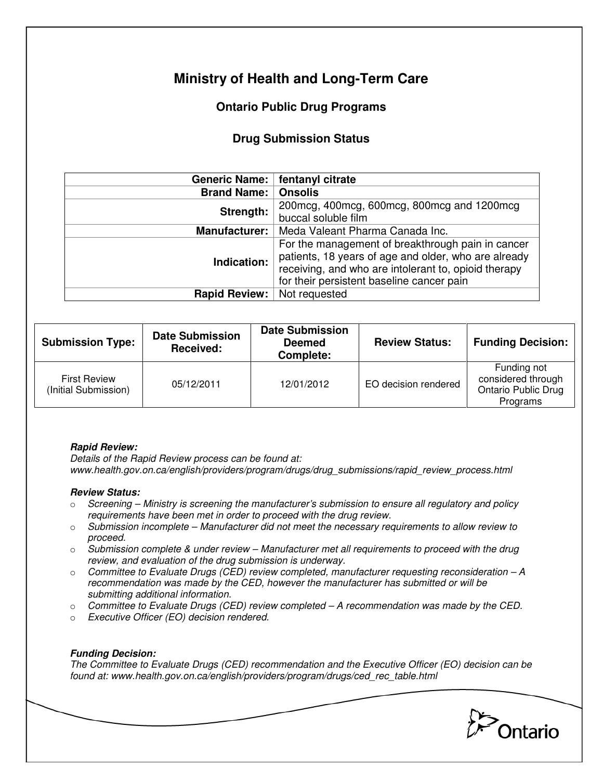# **Ministry of Health and Long-Term Care**

## **Ontario Public Drug Programs**

### **Drug Submission Status**

| <b>Generic Name:</b> | fentanyl citrate                                                                                                                                                                                               |  |  |
|----------------------|----------------------------------------------------------------------------------------------------------------------------------------------------------------------------------------------------------------|--|--|
| <b>Brand Name:</b>   | <b>Onsolis</b>                                                                                                                                                                                                 |  |  |
| Strength:            | 200 mcg, 400 mcg, 600 mcg, 800 mcg and 1200 mcg<br>buccal soluble film                                                                                                                                         |  |  |
| <b>Manufacturer:</b> | Meda Valeant Pharma Canada Inc.                                                                                                                                                                                |  |  |
| Indication:          | For the management of breakthrough pain in cancer<br>patients, 18 years of age and older, who are already<br>receiving, and who are intolerant to, opioid therapy<br>for their persistent baseline cancer pain |  |  |
| Rapid Review:        | Not requested                                                                                                                                                                                                  |  |  |

| <b>Submission Type:</b>                     | <b>Date Submission</b><br>Received: | <b>Date Submission</b><br><b>Deemed</b><br>Complete: | <b>Review Status:</b> | <b>Funding Decision:</b>                                                    |
|---------------------------------------------|-------------------------------------|------------------------------------------------------|-----------------------|-----------------------------------------------------------------------------|
| <b>First Review</b><br>(Initial Submission) | 05/12/2011                          | 12/01/2012                                           | EO decision rendered  | Funding not<br>considered through<br><b>Ontario Public Drug</b><br>Programs |

#### **Rapid Review:**

Details of the Rapid Review process can be found at: www.health.gov.on.ca/english/providers/program/drugs/drug\_submissions/rapid\_review\_process.html

#### **Review Status:**

- $\circ$  Screening Ministry is screening the manufacturer's submission to ensure all regulatory and policy requirements have been met in order to proceed with the drug review.
- $\circ$  Submission incomplete Manufacturer did not meet the necessary requirements to allow review to proceed.
- $\circ$  Submission complete & under review Manufacturer met all requirements to proceed with the drug review, and evaluation of the drug submission is underway.
- $\circ$  Committee to Evaluate Drugs (CED) review completed, manufacturer requesting reconsideration  $-A$ recommendation was made by the CED, however the manufacturer has submitted or will be submitting additional information.
- $\circ$  Committee to Evaluate Drugs (CED) review completed  $-A$  recommendation was made by the CED.
- o Executive Officer (EO) decision rendered.

### **Funding Decision:**

The Committee to Evaluate Drugs (CED) recommendation and the Executive Officer (EO) decision can be found at: www.health.gov.on.ca/english/providers/program/drugs/ced\_rec\_table.html